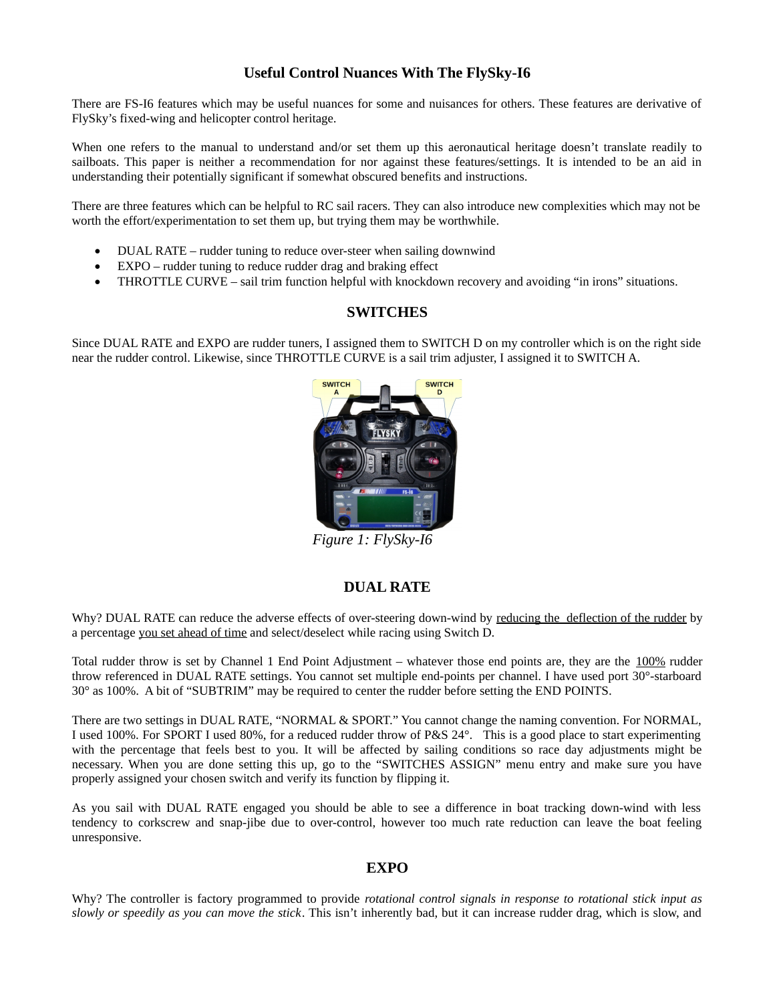# **Useful Control Nuances With The FlySky-I6**

There are FS-I6 features which may be useful nuances for some and nuisances for others. These features are derivative of FlySky's fixed-wing and helicopter control heritage.

When one refers to the manual to understand and/or set them up this aeronautical heritage doesn't translate readily to sailboats. This paper is neither a recommendation for nor against these features/settings. It is intended to be an aid in understanding their potentially significant if somewhat obscured benefits and instructions.

There are three features which can be helpful to RC sail racers. They can also introduce new complexities which may not be worth the effort/experimentation to set them up, but trying them may be worthwhile.

- DUAL RATE rudder tuning to reduce over-steer when sailing downwind
- EXPO rudder tuning to reduce rudder drag and braking effect
- THROTTLE CURVE sail trim function helpful with knockdown recovery and avoiding "in irons" situations.

# **SWITCHES**

Since DUAL RATE and EXPO are rudder tuners, I assigned them to SWITCH D on my controller which is on the right side near the rudder control. Likewise, since THROTTLE CURVE is a sail trim adjuster, I assigned it to SWITCH A.



*Figure 1: FlySky-I6*

# **DUAL RATE**

Why? DUAL RATE can reduce the adverse effects of over-steering down-wind by reducing the deflection of the rudder by a percentage you set ahead of time and select/deselect while racing using Switch D.

Total rudder throw is set by Channel 1 End Point Adjustment – whatever those end points are, they are the 100% rudder throw referenced in DUAL RATE settings. You cannot set multiple end-points per channel. I have used port 30°-starboard 30° as 100%. A bit of "SUBTRIM" may be required to center the rudder before setting the END POINTS.

There are two settings in DUAL RATE, "NORMAL & SPORT." You cannot change the naming convention. For NORMAL, I used 100%. For SPORT I used 80%, for a reduced rudder throw of P&S 24°. This is a good place to start experimenting with the percentage that feels best to you. It will be affected by sailing conditions so race day adjustments might be necessary. When you are done setting this up, go to the "SWITCHES ASSIGN" menu entry and make sure you have properly assigned your chosen switch and verify its function by flipping it.

As you sail with DUAL RATE engaged you should be able to see a difference in boat tracking down-wind with less tendency to corkscrew and snap-jibe due to over-control, however too much rate reduction can leave the boat feeling unresponsive.

### **EXPO**

Why? The controller is factory programmed to provide *rotational control signals in response to rotational stick input as slowly or speedily as you can move the stick*. This isn't inherently bad, but it can increase rudder drag, which is slow, and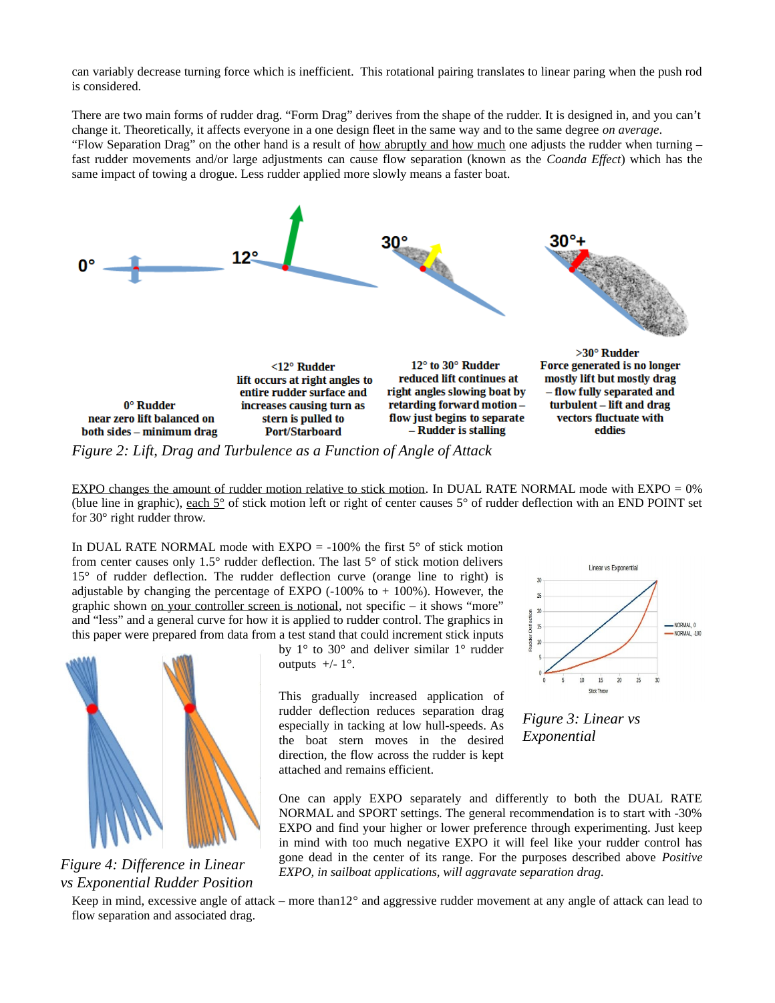can variably decrease turning force which is inefficient. This rotational pairing translates to linear paring when the push rod is considered.

There are two main forms of rudder drag. "Form Drag" derives from the shape of the rudder. It is designed in, and you can't change it. Theoretically, it affects everyone in a one design fleet in the same way and to the same degree *on average*. "Flow Separation Drag" on the other hand is a result of how abruptly and how much one adjusts the rudder when turning  $$ fast rudder movements and/or large adjustments can cause flow separation (known as the *Coanda Effect*) which has the same impact of towing a drogue. Less rudder applied more slowly means a faster boat.



EXPO changes the amount of rudder motion relative to stick motion. In DUAL RATE NORMAL mode with EXPO = 0% (blue line in graphic), each 5° of stick motion left or right of center causes 5° of rudder deflection with an END POINT set

In DUAL RATE NORMAL mode with EXPO  $=$  -100% the first 5 $\degree$  of stick motion from center causes only 1.5° rudder deflection. The last 5° of stick motion delivers 15° of rudder deflection. The rudder deflection curve (orange line to right) is adjustable by changing the percentage of EXPO  $(-100\%$  to  $+ 100\%)$ . However, the graphic shown on your controller screen is notional, not specific - it shows "more" and "less" and a general curve for how it is applied to rudder control. The graphics in this paper were prepared from data from a test stand that could increment stick inputs



for 30° right rudder throw.

*Figure 4: Difference in Linear vs Exponential Rudder Position*

by 1° to 30° and deliver similar 1° rudder outputs  $+/- 1^\circ$ .

This gradually increased application of rudder deflection reduces separation drag especially in tacking at low hull-speeds. As the boat stern moves in the desired direction, the flow across the rudder is kept attached and remains efficient.



*Figure 3: Linear vs Exponential*

One can apply EXPO separately and differently to both the DUAL RATE NORMAL and SPORT settings. The general recommendation is to start with -30% EXPO and find your higher or lower preference through experimenting. Just keep in mind with too much negative EXPO it will feel like your rudder control has gone dead in the center of its range. For the purposes described above *Positive EXPO, in sailboat applications, will aggravate separation drag.* 

Keep in mind, excessive angle of attack – more than12° and aggressive rudder movement at any angle of attack can lead to flow separation and associated drag.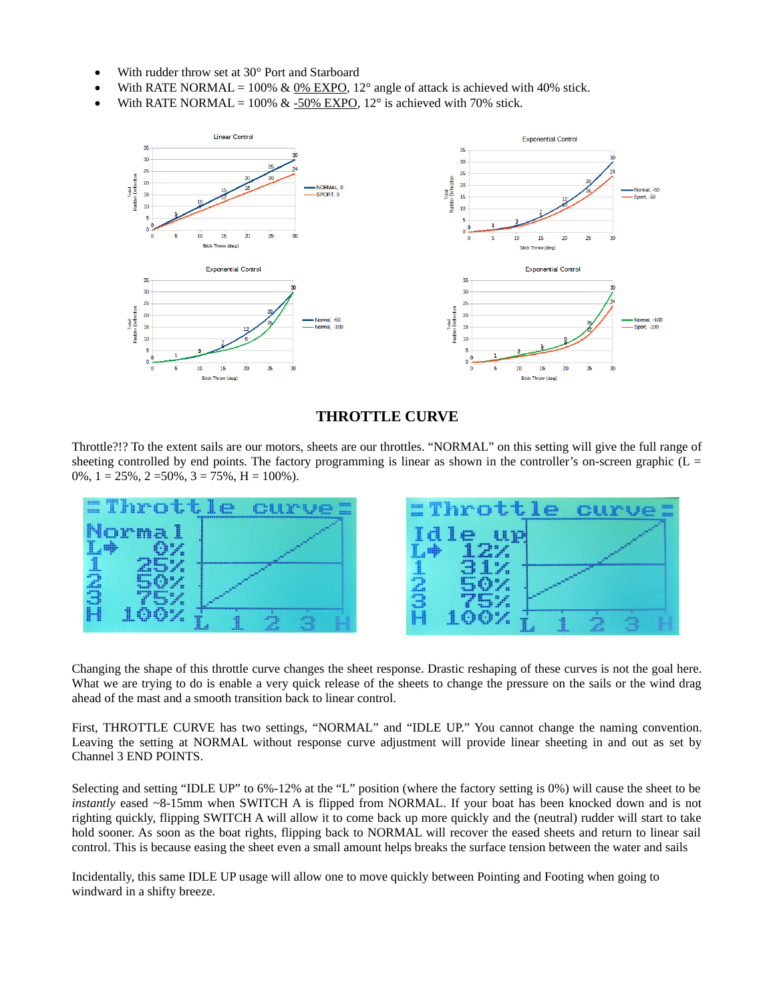- With rudder throw set at 30° Port and Starboard
- With RATE NORMAL =  $100\%$  &  $0\%$  EXPO,  $12^{\circ}$  angle of attack is achieved with 40% stick.
- With RATE NORMAL =  $100\%$  & -50% EXPO, 12° is achieved with 70% stick.



## **THROTTLE CURVE**

Throttle?!? To the extent sails are our motors, sheets are our throttles. "NORMAL" on this setting will give the full range of sheeting controlled by end points. The factory programming is linear as shown in the controller's on-screen graphic ( $L =$ 0%,  $1 = 25\%$ ,  $2 = 50\%$ ,  $3 = 75\%$ ,  $H = 100\%$ ).



Changing the shape of this throttle curve changes the sheet response. Drastic reshaping of these curves is not the goal here. What we are trying to do is enable a very quick release of the sheets to change the pressure on the sails or the wind drag ahead of the mast and a smooth transition back to linear control.

First, THROTTLE CURVE has two settings, "NORMAL" and "IDLE UP." You cannot change the naming convention. Leaving the setting at NORMAL without response curve adjustment will provide linear sheeting in and out as set by Channel 3 END POINTS.

Selecting and setting "IDLE UP" to 6%-12% at the "L" position (where the factory setting is 0%) will cause the sheet to be *instantly* eased ~8-15mm when SWITCH A is flipped from NORMAL. If your boat has been knocked down and is not righting quickly, flipping SWITCH A will allow it to come back up more quickly and the (neutral) rudder will start to take hold sooner. As soon as the boat rights, flipping back to NORMAL will recover the eased sheets and return to linear sail control. This is because easing the sheet even a small amount helps breaks the surface tension between the water and sails

Incidentally, this same IDLE UP usage will allow one to move quickly between Pointing and Footing when going to windward in a shifty breeze.